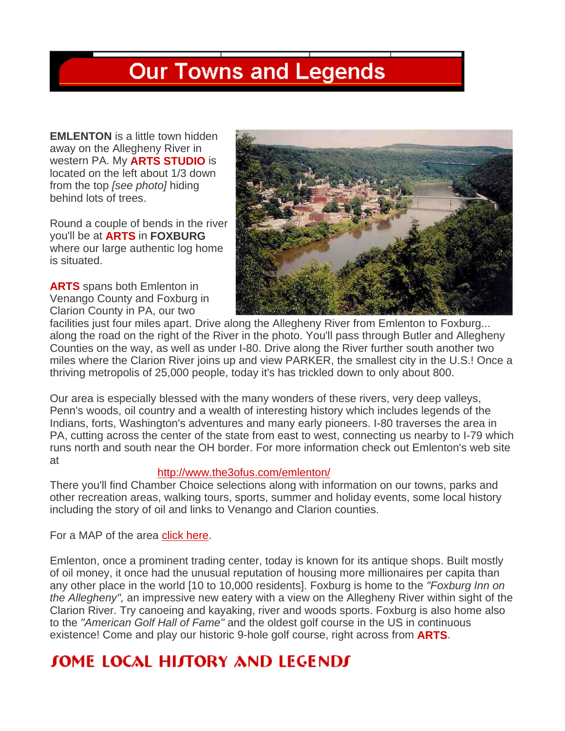## **Our Towns and Legends**

**EMLENTON** is a little town hidden away on the Allegheny River in western PA. My **ARTS STUDIO** is located on the left about 1/3 down from the top *[see photo]* hiding behind lots of trees.

Round a couple of bends in the river you'll be at **ARTS** in **FOXBURG**  where our large authentic log home is situated.

**ARTS** spans both Emlenton in Venango County and Foxburg in Clarion County in PA, our two



facilities just four miles apart. Drive along the Allegheny River from Emlenton to Foxburg... along the road on the right of the River in the photo. You'll pass through Butler and Allegheny Counties on the way, as well as under I-80. Drive along the River further south another two miles where the Clarion River joins up and view PARKER, the smallest city in the U.S.! Once a thriving metropolis of 25,000 people, today it's has trickled down to only about 800.

Our area is especially blessed with the many wonders of these rivers, very deep valleys, Penn's woods, oil country and a wealth of interesting history which includes legends of the Indians, forts, Washington's adventures and many early pioneers. I-80 traverses the area in PA, cutting across the center of the state from east to west, connecting us nearby to I-79 which runs north and south near the OH border. For more information check out Emlenton's web site at

## http://www.the3ofus.com/emlenton/

There you'll find Chamber Choice selections along with information on our towns, parks and other recreation areas, walking tours, sports, summer and holiday events, some local history including the story of oil and links to Venango and Clarion counties.

For a MAP of the area click here.

Emlenton, once a prominent trading center, today is known for its antique shops. Built mostly of oil money, it once had the unusual reputation of housing more millionaires per capita than any other place in the world [10 to 10,000 residents]. Foxburg is home to the *"Foxburg Inn on the Allegheny",* an impressive new eatery with a view on the Allegheny River within sight of the Clarion River. Try canoeing and kayaking, river and woods sports. Foxburg is also home also to the *"American Golf Hall of Fame"* and the oldest golf course in the US in continuous existence! Come and play our historic 9-hole golf course, right across from **ARTS**.

## **JOME LOCAL HIJTORY AND LEGENDJ**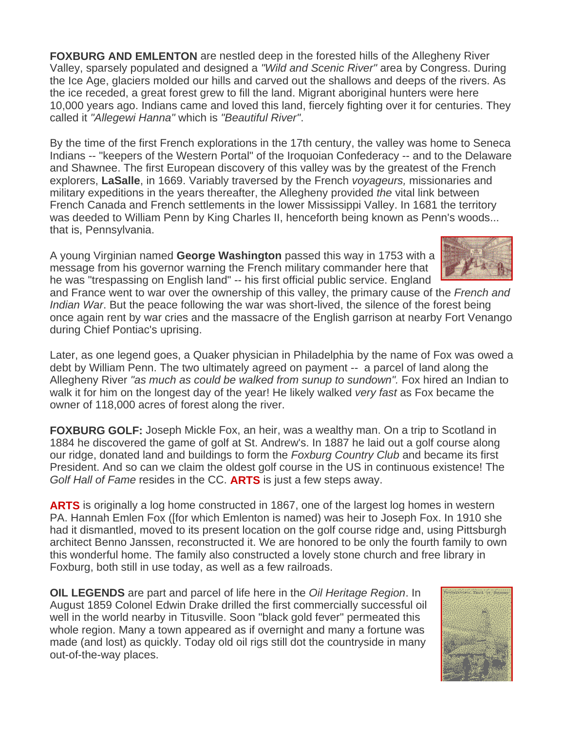**FOXBURG AND EMLENTON** are nestled deep in the forested hills of the Allegheny River Valley, sparsely populated and designed a *"Wild and Scenic River"* area by Congress. During the Ice Age, glaciers molded our hills and carved out the shallows and deeps of the rivers. As the ice receded, a great forest grew to fill the land. Migrant aboriginal hunters were here 10,000 years ago. Indians came and loved this land, fiercely fighting over it for centuries. They called it *"Allegewi Hanna"* which is *"Beautiful River"*.

By the time of the first French explorations in the 17th century, the valley was home to Seneca Indians -- "keepers of the Western Portal" of the Iroquoian Confederacy -- and to the Delaware and Shawnee. The first European discovery of this valley was by the greatest of the French explorers, **LaSalle**, in 1669. Variably traversed by the French *voyageurs,* missionaries and military expeditions in the years thereafter, the Allegheny provided *the* vital link between French Canada and French settlements in the lower Mississippi Valley. In 1681 the territory was deeded to William Penn by King Charles II, henceforth being known as Penn's woods... that is, Pennsylvania.

A young Virginian named **George Washington** passed this way in 1753 with a message from his governor warning the French military commander here that he was "trespassing on English land" -- his first official public service. England



and France went to war over the ownership of this valley, the primary cause of the *French and Indian War*. But the peace following the war was short-lived, the silence of the forest being once again rent by war cries and the massacre of the English garrison at nearby Fort Venango during Chief Pontiac's uprising.

Later, as one legend goes, a Quaker physician in Philadelphia by the name of Fox was owed a debt by William Penn. The two ultimately agreed on payment -- a parcel of land along the Allegheny River *"as much as could be walked from sunup to sundown".* Fox hired an Indian to walk it for him on the longest day of the year! He likely walked *very fast* as Fox became the owner of 118,000 acres of forest along the river.

**FOXBURG GOLF:** Joseph Mickle Fox, an heir, was a wealthy man. On a trip to Scotland in 1884 he discovered the game of golf at St. Andrew's. In 1887 he laid out a golf course along our ridge, donated land and buildings to form the *Foxburg Country Club* and became its first President. And so can we claim the oldest golf course in the US in continuous existence! The *Golf Hall of Fame* resides in the CC. **ARTS** is just a few steps away.

**ARTS** is originally a log home constructed in 1867, one of the largest log homes in western PA. Hannah Emlen Fox ([for which Emlenton is named) was heir to Joseph Fox. In 1910 she had it dismantled, moved to its present location on the golf course ridge and, using Pittsburgh architect Benno Janssen, reconstructed it. We are honored to be only the fourth family to own this wonderful home. The family also constructed a lovely stone church and free library in Foxburg, both still in use today, as well as a few railroads.

**OIL LEGENDS** are part and parcel of life here in the *Oil Heritage Region*. In August 1859 Colonel Edwin Drake drilled the first commercially successful oil well in the world nearby in Titusville. Soon "black gold fever" permeated this whole region. Many a town appeared as if overnight and many a fortune was made (and lost) as quickly. Today old oil rigs still dot the countryside in many out-of-the-way places.